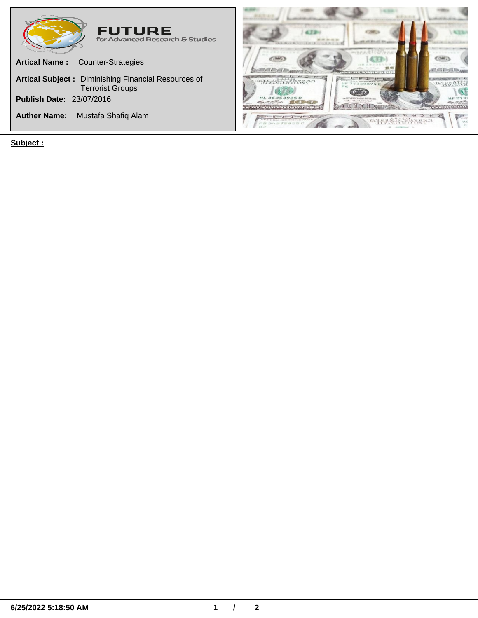

**Subject :**